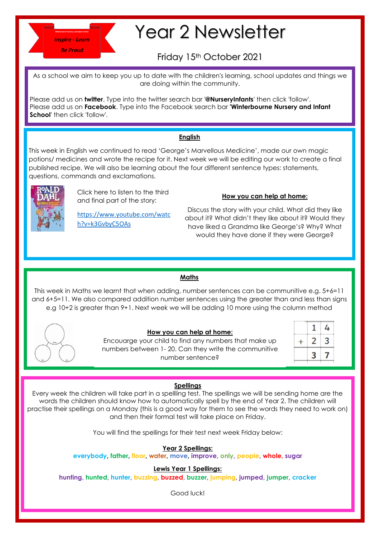

# Year 2 Newsletter

## Friday 15th October 2021

As a school we aim to keep you up to date with the children's learning, school updates and things we are doing within the community.

Please add us on **twitter**. Type into the twitter search bar '**@NurseryInfants**' then click 'follow'. Please add us on **Facebook**. Type into the Facebook search bar **'Winterbourne Nursery and Infant School**' then click 'follow'.

### **English**

This week in English we continued to read 'George's Marvellous Medicine', made our own magic potions/ medicines and wrote the recipe for it. Next week we will be editing our work to create a final published recipe. We will also be learning about the four different sentence types: statements, questions, commands and exclamations. O



Click here to listen to the third and final part of the story:

[https://www.youtube.com/watc](https://www.youtube.com/watch?v=k3GvbyC5OAs) [h?v=k3GvbyC5OAs](https://www.youtube.com/watch?v=k3GvbyC5OAs)

#### **How you can help at home:**

Discuss the story with your child. What did they like about it? What didn't they like about it? Would they have liked a Grandma like George's? Why? What would they have done if they were George?

#### **Maths**

This week in Maths we learnt that when adding, number sentences can be communitive e.g. 5+6=11 and 6+5=11. We also compared addition number sentences using the greater than and less than signs e.g 10+2 is greater than 9+1. Next week we will be adding 10 more using the column method



#### **How you can help at home:**

Encouarge your child to find any numbers that make up numbers between 1- 20. Can they write the communitive number sentence?

| ۰<br>Ξ<br>÷<br>٠<br>E<br>٠<br>٠<br>i.<br>--------------<br>٠                |        |  |
|-----------------------------------------------------------------------------|--------|--|
| ٦<br>٠<br>٠<br>i.<br>i.<br>٠<br>i.<br>i.<br>٠<br>х<br>÷<br>ı<br>÷<br>÷<br>٠ | ٠<br>٠ |  |
| ٠<br>٠<br>٠<br>i.<br>۰<br>٠<br>٠<br>÷<br>÷<br>÷                             | ٠      |  |
|                                                                             |        |  |

#### **Spellings**

Every week the children will take part in a spellling test. The spellings we will be sending home are the words the children should know how to automatically spell by the end of Year 2. The children will practise their spellings on a Monday (this is a good way for them to see the words they need to work on) and then their formal test will take place on Friday.

You will find the spellings for their test next week Friday below:

#### **Year 2 Spellings:**

**everybody, father, floor, water, move, improve, only, people, whole, sugar**

**Lewis Year 1 Spellings:** 

**hunting, hunted, hunter, buzzing, buzzed, buzzer, jumping, jumped, jumper, cracker**

Good luck!